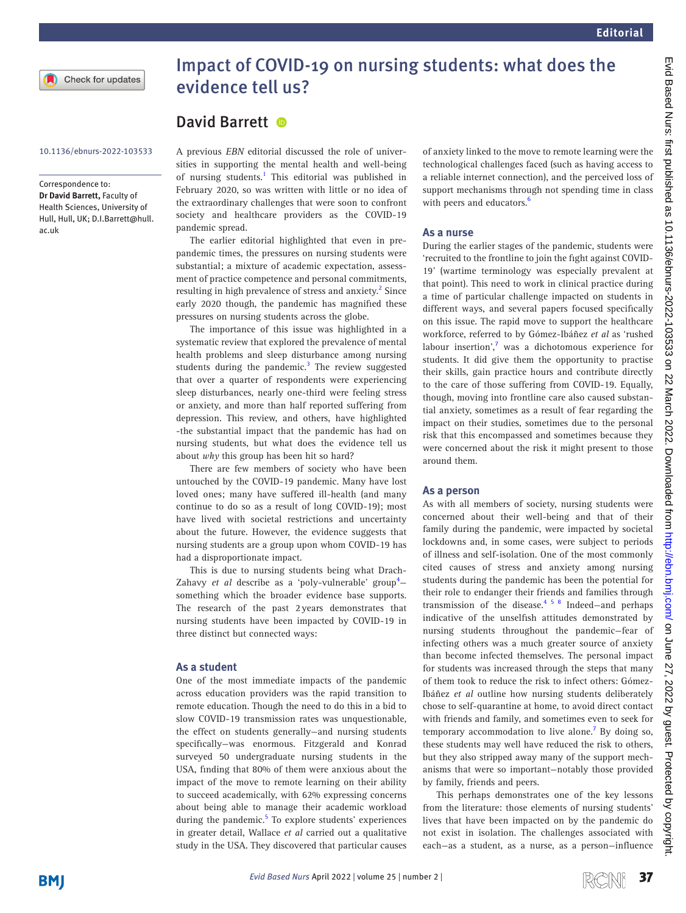# Impact of COVID-19 on nursing students: what does the evidence tell us?

## David Barrett <sup>®</sup>

Correspondence to:

*Dr David Barrett,* Faculty of Health Sciences, University of Hull, Hull, UK; D.I.Barrett@hull. ac.uk

10.1136/ebnurs-2022-103533 A previous *EBN* [editorial](https://ebn.bmj.com/content/23/2/33.long) discussed the role of universities in supporting the mental health and well-being of nursing students.<sup>1</sup> This editorial was published in February 2020, so was written with little or no idea of the extraordinary challenges that were soon to confront society and healthcare providers as the COVID-19 pandemic spread.

> The earlier editorial highlighted that even in prepandemic times, the pressures on nursing students were substantial; a mixture of academic expectation, assessment of practice competence and personal commitments, resulting in high prevalence of stress and anxiety.<sup>[2](#page-1-1)</sup> Since early 2020 though, the pandemic has magnified these pressures on nursing students across the globe.

> The importance of this issue was highlighted in a systematic review that explored the prevalence of mental health problems and sleep disturbance among nursing students during the pandemic.<sup>3</sup> The review suggested that over a quarter of respondents were experiencing sleep disturbances, nearly one-third were feeling stress or anxiety, and more than half reported suffering from depression. This review, and others, have highlighted -the substantial impact that the pandemic has had on nursing students, but what does the evidence tell us about *why* this group has been hit so hard?

> There are few members of society who have been untouched by the COVID-19 pandemic. Many have lost loved ones; many have suffered ill-health (and many continue to do so as a result of long COVID-19); most have lived with societal restrictions and uncertainty about the future. However, the evidence suggests that nursing students are a group upon whom COVID-19 has had a disproportionate impact.

This is due to nursing students being what Drach-Zahavy et al describe as a 'poly-vulnerable' group<sup>[4](#page-1-3)</sup>something which the broader evidence base supports. The research of the past 2years demonstrates that nursing students have been impacted by COVID-19 in three distinct but connected ways:

#### **As a student**

One of the most immediate impacts of the pandemic across education providers was the rapid transition to remote education. Though the need to do this in a bid to slow COVID-19 transmission rates was unquestionable, the effect on students generally—and nursing students specifically—was enormous. Fitzgerald and Konrad surveyed 50 undergraduate nursing students in the USA, finding that 80% of them were anxious about the impact of the move to remote learning on their ability to succeed academically, with 62% expressing concerns about being able to manage their academic workload during the pandemic.<sup>5</sup> To explore students' experiences in greater detail, Wallace *et al* carried out a qualitative study in the USA. They discovered that particular causes

of anxiety linked to the move to remote learning were the technological challenges faced (such as having access to a reliable internet connection), and the perceived loss of support mechanisms through not spending time in class with peers and educators.<sup>6</sup>

### **As a nurse**

During the earlier stages of the pandemic, students were 'recruited to the frontline to join the fight against COVID-19' (wartime terminology was especially prevalent at that point). This need to work in clinical practice during a time of particular challenge impacted on students in different ways, and several papers focused specifically on this issue. The rapid move to support the healthcare workforce, referred to by Gómez-Ibáñez *et al* as 'rushed labour insertion',<sup>[7](#page-1-6)</sup> was a dichotomous experience for students. It did give them the opportunity to practise their skills, gain practice hours and contribute directly to the care of those suffering from COVID-19. Equally, though, moving into frontline care also caused substantial anxiety, sometimes as a result of fear regarding the impact on their studies, sometimes due to the personal risk that this encompassed and sometimes because they were concerned about the risk it might present to those around them.

#### **As a person**

As with all members of society, nursing students were concerned about their well-being and that of their family during the pandemic, were impacted by societal lockdowns and, in some cases, were subject to periods of illness and self-isolation. One of the most commonly cited causes of stress and anxiety among nursing students during the pandemic has been the potential for their role to endanger their friends and families through transmission of the disease. $4 \times 5 \times 8$  Indeed—and perhaps indicative of the unselfish attitudes demonstrated by nursing students throughout the pandemic—fear of infecting others was a much greater source of anxiety than become infected themselves. The personal impact for students was increased through the steps that many of them took to reduce the risk to infect others: Gómez-Ibáñez *et al* outline how nursing students deliberately chose to self-quarantine at home, to avoid direct contact with friends and family, and sometimes even to seek for temporary accommodation to live alone.<sup>[7](#page-1-6)</sup> By doing so, these students may well have reduced the risk to others, but they also stripped away many of the support mechanisms that were so important—notably those provided by family, friends and peers.

This perhaps demonstrates one of the key lessons from the literature: those elements of nursing students' lives that have been impacted on by the pandemic do not exist in isolation. The challenges associated with each—as a student, as a nurse, as a person—influence